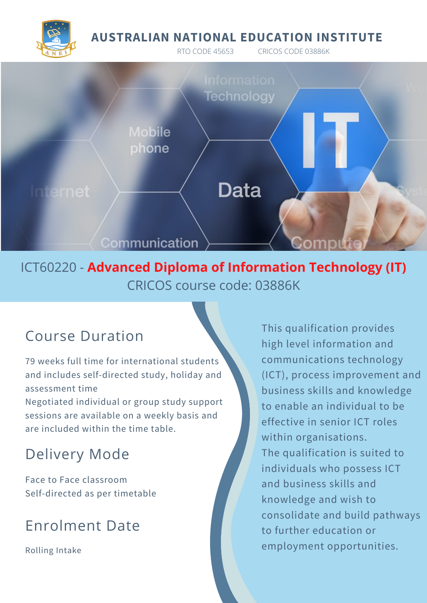## **AUSTRALIAN NATIONAL EDUCATION INSTITUTE**

RTO CODE 45653 CRICOS CODE 03886K





ICT60220 - **Advanced Diploma of Information Technology (IT)** CRICOS course code: 03886K

# Course Duration

79 weeks full time for international students and includes self-directed study, holiday and assessment time

Negotiated individual or group study support sessions are available on a weekly basis and are included within the time table.

# Delivery Mode

Face to Face classroom Self-directed as per timetable

# Enrolment Date

Rolling Intake

This qualification provides high level information and communications technology (ICT), process improvement and business skills and knowledge to enable an individual to be effective in senior ICT roles within organisations. The qualification is suited to individuals who possess ICT and business skills and knowledge and wish to consolidate and build pathways to further education or employment opportunities.